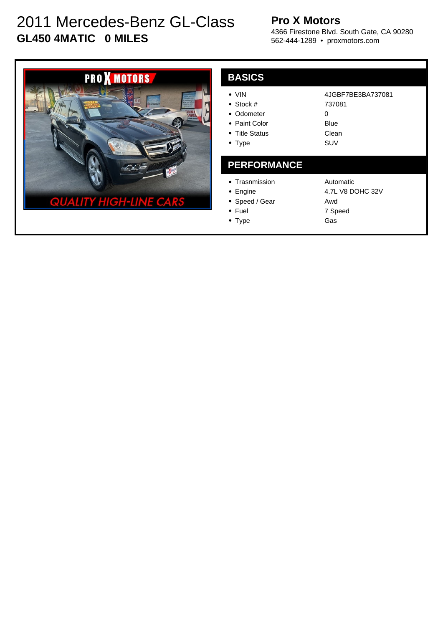# 2011 Mercedes-Benz GL-Class **GL450 4MATIC 0 MILES**

### **Pro X Motors**

4366 Firestone Blvd. South Gate, CA 90280 562-444-1289 • proxmotors.com



| <b>BASICS</b>                                                                           |                                                          |
|-----------------------------------------------------------------------------------------|----------------------------------------------------------|
| $\bullet$ VIN<br>• Stock $#$<br>• Odometer<br>• Paint Color<br>• Title Status<br>• Type | 4JGBF7BE3BA737081<br>737081<br>0<br>Blue<br>Clean<br>SUV |
| <b>PERFORMANCE</b>                                                                      |                                                          |
| • Trasnmission<br>$\bullet$ Engine<br>• Speed / Gear<br>$\bullet$ Fuel                  | Automatic<br>4.7L V8 DOHC 32V<br>Awd<br>7 Speed          |

• Type

7 Speed Gas